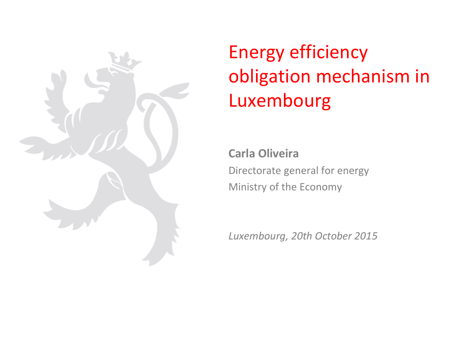

## Energy efficiency obligation mechanism in Luxembourg

**Carla Oliveira** Directorate general for energy Ministry of the Economy

*Luxembourg, 20th October 2015*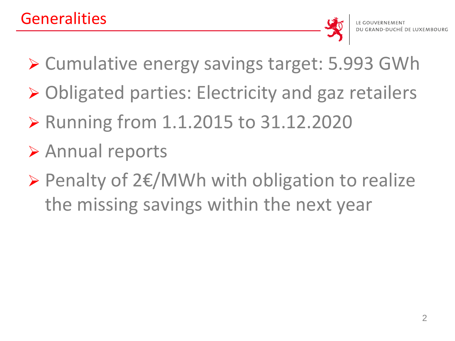- ▶ Cumulative energy savings target: 5.993 GWh
- ▶ Obligated parties: Electricity and gaz retailers
- ▶ Running from 1.1.2015 to 31.12.2020
- Annual reports
- Penalty of 2€/MWh with obligation to realize the missing savings within the next year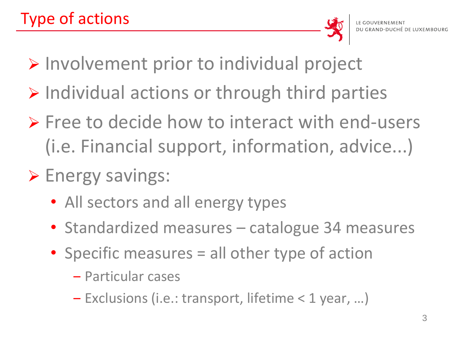

- Involvement prior to individual project
- $\triangleright$  Individual actions or through third parties
- $\triangleright$  Free to decide how to interact with end-users (i.e. Financial support, information, advice...)
- $\triangleright$  Energy savings:
	- All sectors and all energy types
	- Standardized measures catalogue 34 measures
	- Specific measures = all other type of action
		- ‒ Particular cases
		- ‒ Exclusions (i.e.: transport, lifetime < 1 year, …)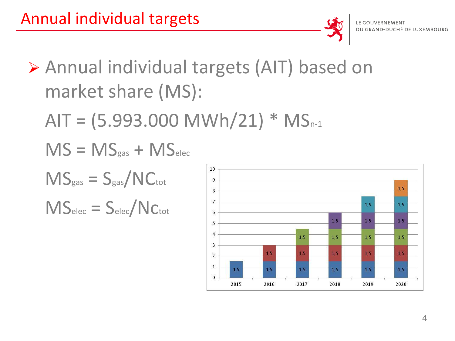

- Annual individual targets (AIT) based on market share (MS):
	- $AIT = (5.993.000 \text{ MWh}/21) * MS_{n-1}$
	- $MS = MS_{gas} + MS_{elec}$
	- $MS_{gas} = S_{gas}/NC_{tot}$
	- $MS<sub>elec</sub> = S<sub>elec</sub>/NC<sub>tot</sub>$

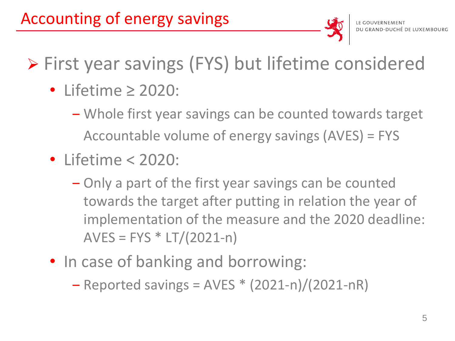

## First year savings (FYS) but lifetime considered

- Lifetime ≥ 2020:
	- ‒ Whole first year savings can be counted towards target Accountable volume of energy savings (AVES) = FYS
- Lifetime < 2020:
	- ‒ Only a part of the first year savings can be counted towards the target after putting in relation the year of implementation of the measure and the 2020 deadline:  $AVES = FYS * LT/(2021-n)$
- In case of banking and borrowing:
	- $-$  Reported savings = AVES  $*(2021-n)/(2021-nR)$